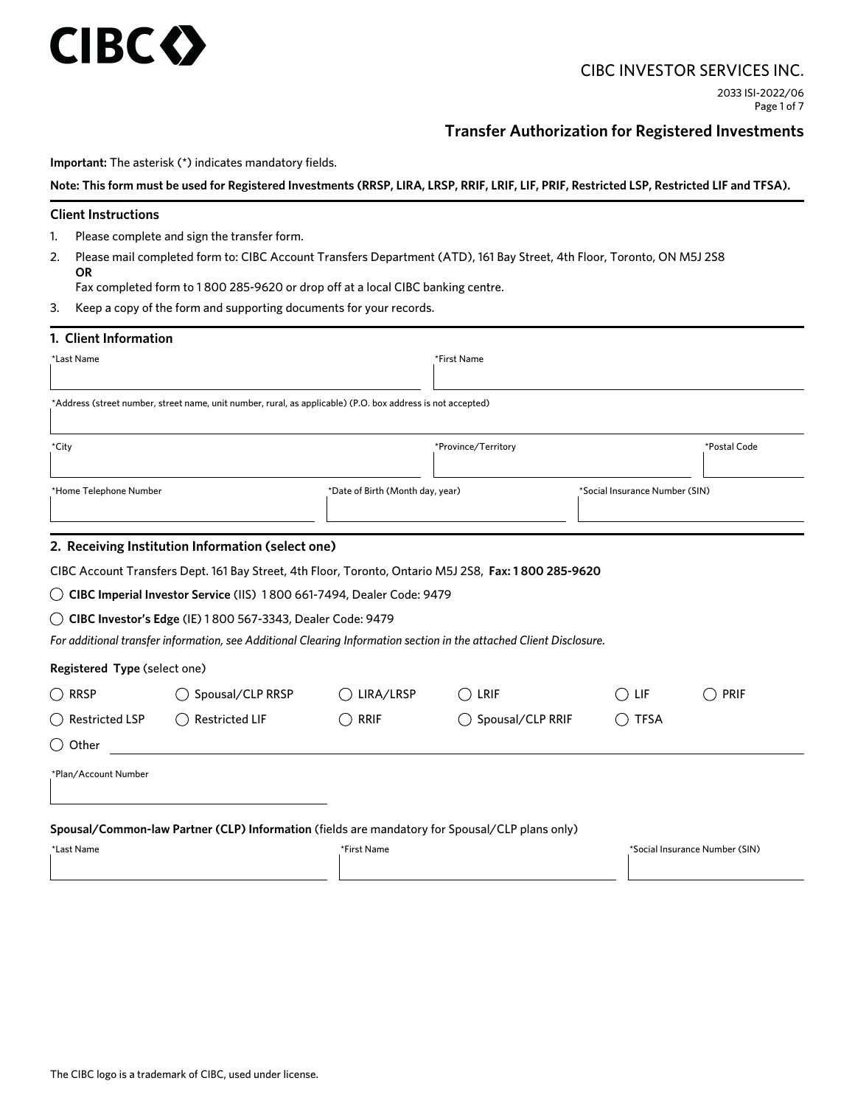## CIBC INVESTOR SERVICES INC.

# **Transfer Authorization for Registered Investments**

**Important:** The asterisk (\*) indicates mandatory fields.

**Note: This form must be used for Registered Investments (RRSP, LIRA, LRSP, RRIF, LRIF, LIF, PRIF, Restricted LSP, Restricted LIF and TFSA).**

## **Client Instructions**

**CIBC** 

- 1. Please complete and sign the transfer form.
- 2. Please mail completed form to: CIBC Account Transfers Department (ATD), 161 Bay Street, 4th Floor, Toronto, ON M5J 2S8 **OR**

Fax completed form to 1 800 285-9620 or drop off at a local CIBC banking centre.

3. Keep a copy of the form and supporting documents for your records.

| 1. Client Information        |                                                                                                                     |                                  |                     |                                |      |
|------------------------------|---------------------------------------------------------------------------------------------------------------------|----------------------------------|---------------------|--------------------------------|------|
| *Last Name                   |                                                                                                                     |                                  | *First Name         |                                |      |
|                              | *Address (street number, street name, unit number, rural, as applicable) (P.O. box address is not accepted)         |                                  |                     |                                |      |
|                              |                                                                                                                     |                                  |                     |                                |      |
| *City                        |                                                                                                                     |                                  | *Province/Territory | *Postal Code                   |      |
| *Home Telephone Number       |                                                                                                                     | *Date of Birth (Month day, year) |                     | *Social Insurance Number (SIN) |      |
|                              | 2. Receiving Institution Information (select one)                                                                   |                                  |                     |                                |      |
|                              | CIBC Account Transfers Dept. 161 Bay Street, 4th Floor, Toronto, Ontario M5J 2S8, Fax: 1800 285-9620                |                                  |                     |                                |      |
|                              | ◯ CIBC Imperial Investor Service (IIS) 1800 661-7494, Dealer Code: 9479                                             |                                  |                     |                                |      |
|                              | ◯ CIBC Investor's Edge (IE) 1800 567-3343, Dealer Code: 9479                                                        |                                  |                     |                                |      |
|                              | For additional transfer information, see Additional Clearing Information section in the attached Client Disclosure. |                                  |                     |                                |      |
| Registered Type (select one) |                                                                                                                     |                                  |                     |                                |      |
| ◯ RRSP                       | Spousal/CLP RRSP                                                                                                    | LIRA/LRSP<br>(                   | LRIF                | LIF                            | PRIF |
| $\bigcirc$ Restricted LSP    | <b>Restricted LIF</b>                                                                                               | <b>RRIF</b>                      | Spousal/CLP RRIF    | <b>TFSA</b>                    |      |
| ( )Other                     |                                                                                                                     |                                  |                     |                                |      |
|                              |                                                                                                                     |                                  |                     |                                |      |
| *Plan/Account Number         |                                                                                                                     |                                  |                     |                                |      |
|                              | Spousal/Common-law Partner (CLP) Information (fields are mandatory for Spousal/CLP plans only)                      |                                  |                     |                                |      |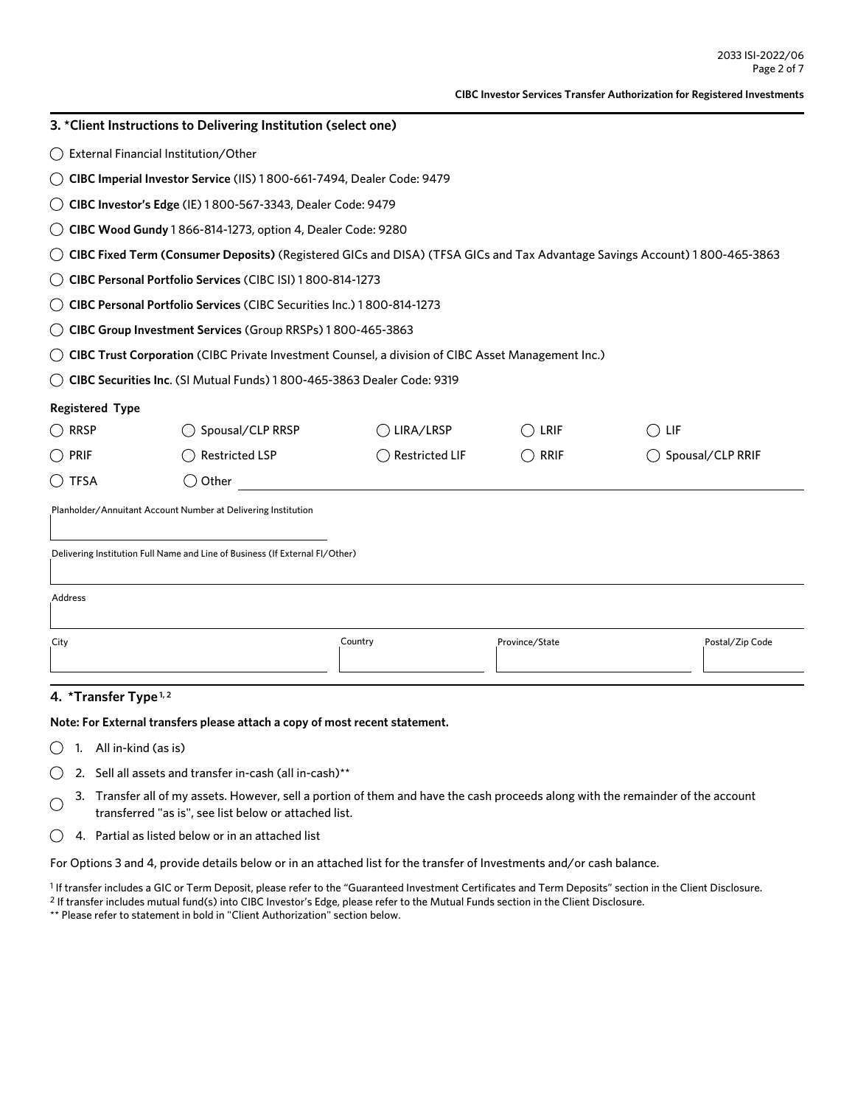| 3. *Client Instructions to Delivering Institution (select one)               |                                                                                                                            |                                                                                                    |                |                  |  |  |  |
|------------------------------------------------------------------------------|----------------------------------------------------------------------------------------------------------------------------|----------------------------------------------------------------------------------------------------|----------------|------------------|--|--|--|
|                                                                              | External Financial Institution/Other                                                                                       |                                                                                                    |                |                  |  |  |  |
|                                                                              | CIBC Imperial Investor Service (IIS) 1800-661-7494, Dealer Code: 9479                                                      |                                                                                                    |                |                  |  |  |  |
| CIBC Investor's Edge (IE) 1800-567-3343, Dealer Code: 9479                   |                                                                                                                            |                                                                                                    |                |                  |  |  |  |
| CIBC Wood Gundy 1866-814-1273, option 4, Dealer Code: 9280                   |                                                                                                                            |                                                                                                    |                |                  |  |  |  |
|                                                                              | CIBC Fixed Term (Consumer Deposits) (Registered GICs and DISA) (TFSA GICs and Tax Advantage Savings Account) 1800-465-3863 |                                                                                                    |                |                  |  |  |  |
|                                                                              | CIBC Personal Portfolio Services (CIBC ISI) 1800-814-1273                                                                  |                                                                                                    |                |                  |  |  |  |
|                                                                              | CIBC Personal Portfolio Services (CIBC Securities Inc.) 1800-814-1273                                                      |                                                                                                    |                |                  |  |  |  |
|                                                                              | CIBC Group Investment Services (Group RRSPs) 1800-465-3863                                                                 |                                                                                                    |                |                  |  |  |  |
|                                                                              |                                                                                                                            | CIBC Trust Corporation (CIBC Private Investment Counsel, a division of CIBC Asset Management Inc.) |                |                  |  |  |  |
|                                                                              | CIBC Securities Inc. (SI Mutual Funds) 1800-465-3863 Dealer Code: 9319                                                     |                                                                                                    |                |                  |  |  |  |
| <b>Registered Type</b>                                                       |                                                                                                                            |                                                                                                    |                |                  |  |  |  |
| ( ) RRSP                                                                     | Spousal/CLP RRSP                                                                                                           | LIRA/LRSP                                                                                          | LRIF           | LIF              |  |  |  |
| <b>PRIF</b>                                                                  | <b>Restricted LSP</b>                                                                                                      | <b>Restricted LIF</b>                                                                              | <b>RRIF</b>    | Spousal/CLP RRIF |  |  |  |
| ( ) TFSA                                                                     | Other                                                                                                                      |                                                                                                    |                |                  |  |  |  |
| Planholder/Annuitant Account Number at Delivering Institution                |                                                                                                                            |                                                                                                    |                |                  |  |  |  |
| Delivering Institution Full Name and Line of Business (If External FI/Other) |                                                                                                                            |                                                                                                    |                |                  |  |  |  |
| Address                                                                      |                                                                                                                            |                                                                                                    |                |                  |  |  |  |
| City                                                                         |                                                                                                                            | Country                                                                                            | Province/State | Postal/Zip Code  |  |  |  |

## **4. \*Transfer Type 1, 2**

### **Note: For External transfers please attach a copy of most recent statement.**

- $\bigcirc$  1. All in-kind (as is)
- $\bigcirc$  2. Sell all assets and transfer in-cash (all in-cash)\*\*
- 3. Transfer all of my assets. However, sell a portion of them and have the cash proceeds along with the remainder of the account  $\bigcap$ transferred "as is", see list below or attached list.
- $\bigcirc$  4. Partial as listed below or in an attached list

For Options 3 and 4, provide details below or in an attached list for the transfer of Investments and/or cash balance.

<sup>1</sup> If transfer includes a GIC or Term Deposit, please refer to the "Guaranteed Investment Certificates and Term Deposits" section in the Client Disclosure. 2 If transfer includes mutual fund(s) into CIBC Investor's Edge, please refer to the Mutual Funds section in the Client Disclosure.

\*\* Please refer to statement in bold in "Client Authorization" section below.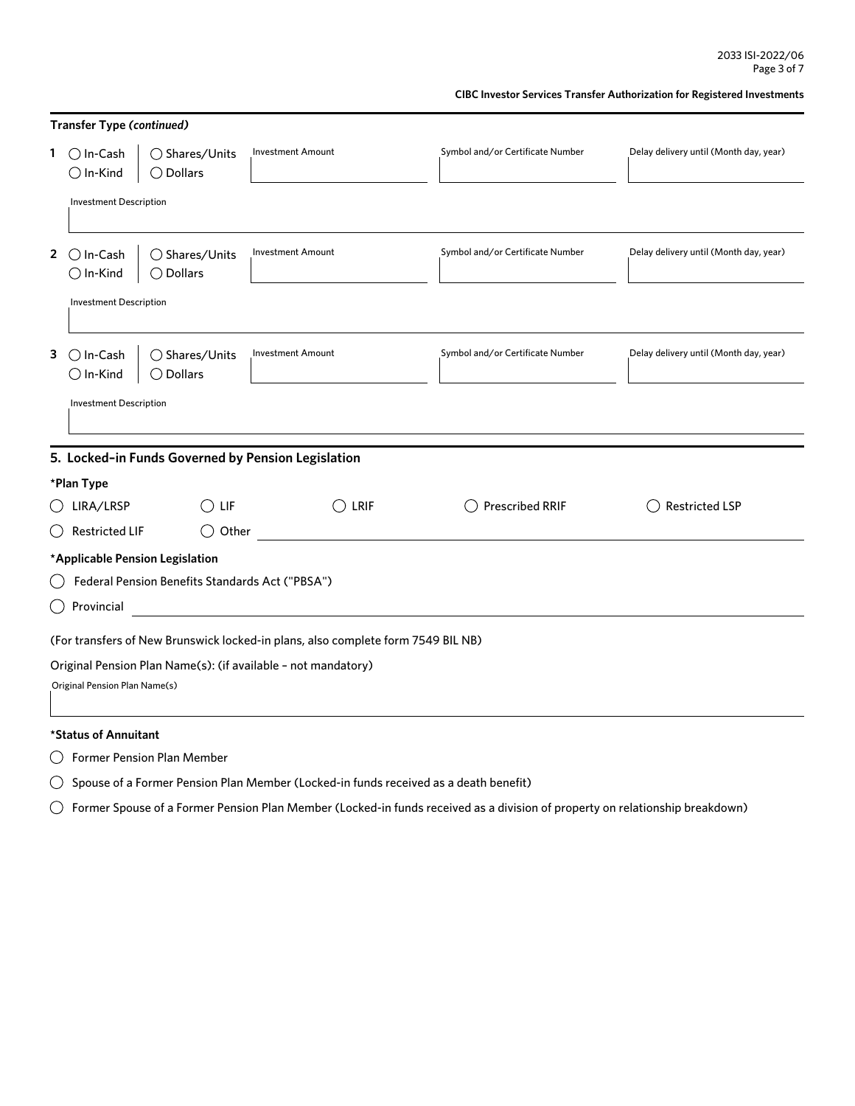| <b>Transfer Type (continued)</b>                                                 |                                                                                                |                          |                                  |                                        |  |  |  |
|----------------------------------------------------------------------------------|------------------------------------------------------------------------------------------------|--------------------------|----------------------------------|----------------------------------------|--|--|--|
|                                                                                  | 1 $\bigcap$ In-Cash<br>$\bigcirc$ Shares/Units<br>$\bigcirc$ Dollars<br>$\bigcirc$ In-Kind     | <b>Investment Amount</b> | Symbol and/or Certificate Number | Delay delivery until (Month day, year) |  |  |  |
|                                                                                  | <b>Investment Description</b>                                                                  |                          |                                  |                                        |  |  |  |
| $2^{\circ}$                                                                      | ◯ Shares/Units<br>$\bigcirc$ In-Cash<br>$\bigcirc$ In-Kind<br>$\bigcirc$ Dollars               | <b>Investment Amount</b> | Symbol and/or Certificate Number | Delay delivery until (Month day, year) |  |  |  |
|                                                                                  | <b>Investment Description</b>                                                                  |                          |                                  |                                        |  |  |  |
| 3                                                                                | $\bigcap$ In-Cash<br>$\bigcirc$ Shares/Units<br>$\bigcirc$ In-Kind<br>$\bigcirc$ Dollars       | <b>Investment Amount</b> | Symbol and/or Certificate Number | Delay delivery until (Month day, year) |  |  |  |
|                                                                                  | <b>Investment Description</b>                                                                  |                          |                                  |                                        |  |  |  |
| 5. Locked-in Funds Governed by Pension Legislation                               |                                                                                                |                          |                                  |                                        |  |  |  |
|                                                                                  | *Plan Type                                                                                     |                          |                                  |                                        |  |  |  |
|                                                                                  | LIRA/LRSP<br>$\left(\right)$<br>LIF                                                            | LRIF                     | <b>Prescribed RRIF</b>           | <b>Restricted LSP</b>                  |  |  |  |
|                                                                                  | <b>Restricted LIF</b><br>$($ )                                                                 | Other                    |                                  |                                        |  |  |  |
|                                                                                  | *Applicable Pension Legislation                                                                |                          |                                  |                                        |  |  |  |
| Federal Pension Benefits Standards Act ("PBSA")                                  |                                                                                                |                          |                                  |                                        |  |  |  |
| Provincial<br>( )                                                                |                                                                                                |                          |                                  |                                        |  |  |  |
| (For transfers of New Brunswick locked-in plans, also complete form 7549 BIL NB) |                                                                                                |                          |                                  |                                        |  |  |  |
|                                                                                  | Original Pension Plan Name(s): (if available - not mandatory)<br>Original Pension Plan Name(s) |                          |                                  |                                        |  |  |  |
|                                                                                  |                                                                                                |                          |                                  |                                        |  |  |  |

Former Pension Plan Member

 $\bigcirc$  Spouse of a Former Pension Plan Member (Locked-in funds received as a death benefit)

 $\bigcirc$  Former Spouse of a Former Pension Plan Member (Locked-in funds received as a division of property on relationship breakdown)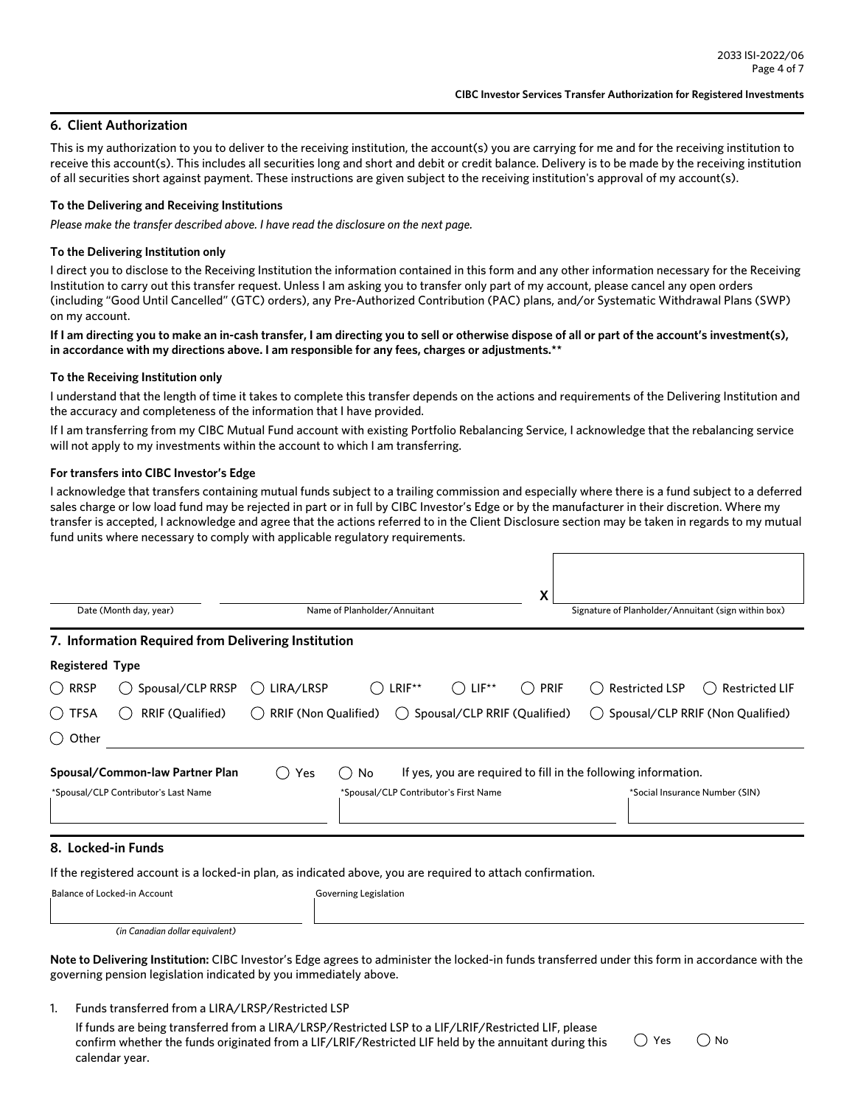## **6. Client Authorization**

This is my authorization to you to deliver to the receiving institution, the account(s) you are carrying for me and for the receiving institution to receive this account(s). This includes all securities long and short and debit or credit balance. Delivery is to be made by the receiving institution of all securities short against payment. These instructions are given subject to the receiving institution's approval of my account(s).

#### **To the Delivering and Receiving Institutions**

*Please make the transfer described above. I have read the disclosure on the next page.*

### **To the Delivering Institution only**

I direct you to disclose to the Receiving Institution the information contained in this form and any other information necessary for the Receiving Institution to carry out this transfer request. Unless I am asking you to transfer only part of my account, please cancel any open orders (including "Good Until Cancelled" (GTC) orders), any Pre-Authorized Contribution (PAC) plans, and/or Systematic Withdrawal Plans (SWP) on my account.

**If I am directing you to make an in-cash transfer, I am directing you to sell or otherwise dispose of all or part of the account's investment(s), in accordance with my directions above. I am responsible for any fees, charges or adjustments.\*\*** 

#### **To the Receiving Institution only**

I understand that the length of time it takes to complete this transfer depends on the actions and requirements of the Delivering Institution and the accuracy and completeness of the information that I have provided.

If I am transferring from my CIBC Mutual Fund account with existing Portfolio Rebalancing Service, I acknowledge that the rebalancing service will not apply to my investments within the account to which I am transferring.

#### **For transfers into CIBC Investor's Edge**

I acknowledge that transfers containing mutual funds subject to a trailing commission and especially where there is a fund subject to a deferred sales charge or low load fund may be rejected in part or in full by CIBC Investor's Edge or by the manufacturer in their discretion. Where my transfer is accepted, I acknowledge and agree that the actions referred to in the Client Disclosure section may be taken in regards to my mutual fund units where necessary to comply with applicable regulatory requirements.

| Date (Month day, year) |                                                                                                             |                      | Name of Planholder/Annuitant          |                                         |                    | Signature of Planholder/Annuitant (sign within box)            |                                  |
|------------------------|-------------------------------------------------------------------------------------------------------------|----------------------|---------------------------------------|-----------------------------------------|--------------------|----------------------------------------------------------------|----------------------------------|
|                        | 7. Information Required from Delivering Institution                                                         |                      |                                       |                                         |                    |                                                                |                                  |
| <b>Registered Type</b> |                                                                                                             |                      |                                       |                                         |                    |                                                                |                                  |
| <b>RRSP</b><br>(       | Spousal/CLP RRSP                                                                                            | LIRA/LRSP<br>(       | LRIF**                                | $LIF^{\star\star}$                      | <b>PRIF</b><br>( ) | <b>Restricted LSP</b>                                          | <b>Restricted LIF</b>            |
| () TFSA                | <b>RRIF (Qualified)</b>                                                                                     | RRIF (Non Qualified) |                                       | $\bigcirc$ Spousal/CLP RRIF (Qualified) |                    |                                                                | Spousal/CLP RRIF (Non Qualified) |
| Other<br>$($ )         |                                                                                                             |                      |                                       |                                         |                    |                                                                |                                  |
|                        | Spousal/Common-law Partner Plan                                                                             | Yes                  | No<br>()                              |                                         |                    | If yes, you are required to fill in the following information. |                                  |
|                        | *Spousal/CLP Contributor's Last Name                                                                        |                      | *Spousal/CLP Contributor's First Name |                                         |                    |                                                                | *Social Insurance Number (SIN)   |
| 8. Locked-in Funds     |                                                                                                             |                      |                                       |                                         |                    |                                                                |                                  |
|                        | If the registered account is a locked-in plan, as indicated above, you are required to attach confirmation. |                      |                                       |                                         |                    |                                                                |                                  |
|                        | Balance of Locked-in Account                                                                                |                      | Governing Legislation                 |                                         |                    |                                                                |                                  |

*(in Canadian dollar equivalent)*

**Note to Delivering Institution:** CIBC Investor's Edge agrees to administer the locked-in funds transferred under this form in accordance with the governing pension legislation indicated by you immediately above.

1. Funds transferred from a LIRA/LRSP/Restricted LSP

If funds are being transferred from a LIRA/LRSP/Restricted LSP to a LIF/LRIF/Restricted LIF, please confirm whether the funds originated from a LIF/LRIF/Restricted LIF held by the annuitant during this calendar year.

 $\bigcap$  Yes  $\bigcap$  No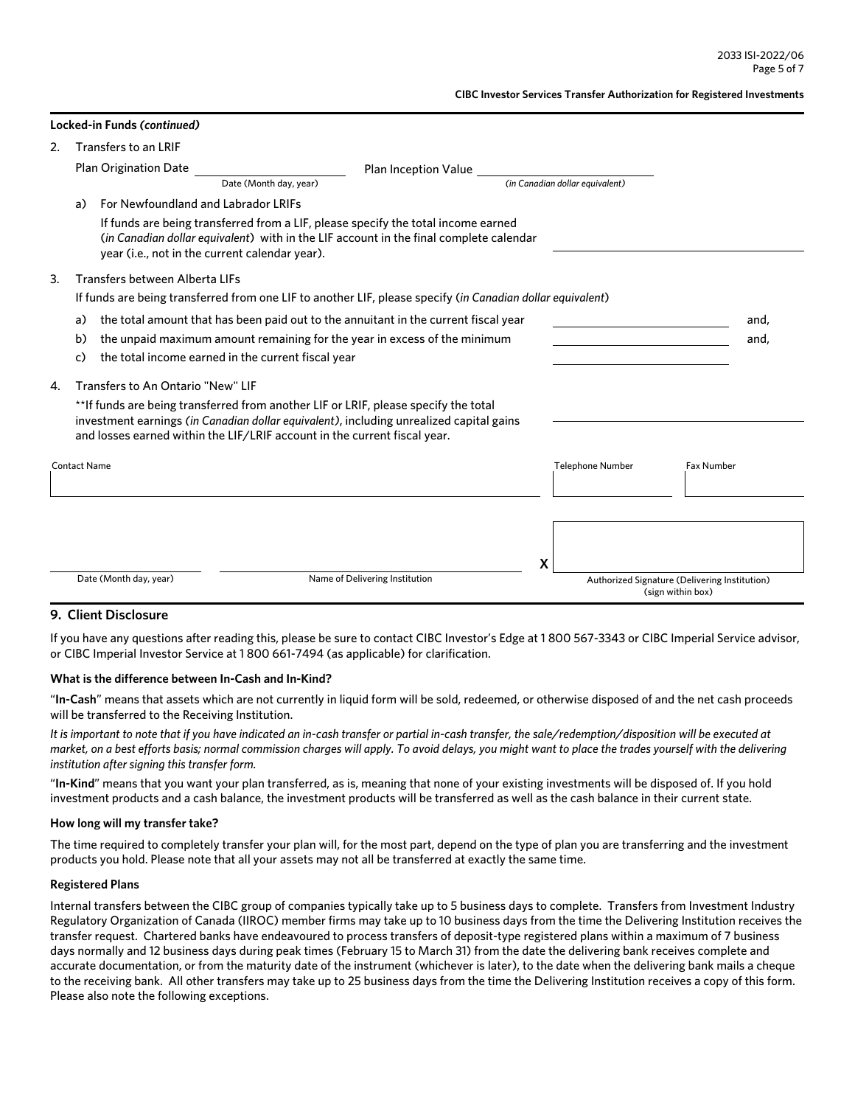|    |                                                             | Locked-in Funds ( <i>continued)</i> |                                                                                                                                                                                                                                                             |  |                                 |                                               |
|----|-------------------------------------------------------------|-------------------------------------|-------------------------------------------------------------------------------------------------------------------------------------------------------------------------------------------------------------------------------------------------------------|--|---------------------------------|-----------------------------------------------|
| 2. |                                                             | Transfers to an LRIF                |                                                                                                                                                                                                                                                             |  |                                 |                                               |
|    | <b>Plan Origination Date</b><br><b>Plan Inception Value</b> |                                     |                                                                                                                                                                                                                                                             |  |                                 |                                               |
|    |                                                             |                                     | Date (Month day, year)                                                                                                                                                                                                                                      |  | (in Canadian dollar eauivalent) |                                               |
|    | a)                                                          |                                     | For Newfoundland and Labrador LRIFs                                                                                                                                                                                                                         |  |                                 |                                               |
|    |                                                             |                                     | If funds are being transferred from a LIF, please specify the total income earned<br>(in Canadian dollar equivalent) with in the LIF account in the final complete calendar<br>year (i.e., not in the current calendar year).                               |  |                                 |                                               |
| 3. |                                                             | Transfers between Alberta LIFs      |                                                                                                                                                                                                                                                             |  |                                 |                                               |
|    |                                                             |                                     | If funds are being transferred from one LIF to another LIF, please specify (in Canadian dollar equivalent)                                                                                                                                                  |  |                                 |                                               |
|    | a)                                                          |                                     | the total amount that has been paid out to the annuitant in the current fiscal year                                                                                                                                                                         |  |                                 | and,                                          |
|    | b)                                                          |                                     | the unpaid maximum amount remaining for the year in excess of the minimum                                                                                                                                                                                   |  |                                 | and,                                          |
|    | c)                                                          |                                     | the total income earned in the current fiscal year                                                                                                                                                                                                          |  |                                 |                                               |
| 4. |                                                             | Transfers to An Ontario "New" LIF   |                                                                                                                                                                                                                                                             |  |                                 |                                               |
|    |                                                             |                                     | **If funds are being transferred from another LIF or LRIF, please specify the total<br>investment earnings (in Canadian dollar equivalent), including unrealized capital gains<br>and losses earned within the LIF/LRIF account in the current fiscal year. |  |                                 |                                               |
|    | <b>Contact Name</b>                                         |                                     |                                                                                                                                                                                                                                                             |  | <b>Telephone Number</b>         | <b>Fax Number</b>                             |
|    |                                                             |                                     |                                                                                                                                                                                                                                                             |  |                                 |                                               |
|    |                                                             |                                     |                                                                                                                                                                                                                                                             |  |                                 |                                               |
|    |                                                             |                                     |                                                                                                                                                                                                                                                             |  |                                 |                                               |
|    |                                                             | Date (Month day, year)              | Name of Delivering Institution                                                                                                                                                                                                                              |  | Х                               | Authorized Signature (Delivering Institution) |
|    |                                                             |                                     |                                                                                                                                                                                                                                                             |  |                                 | (sign within box)                             |

## **9. Client Disclosure**

**Locked-in Funds** *(continued)*

If you have any questions after reading this, please be sure to contact CIBC Investor's Edge at 1 800 567-3343 or CIBC Imperial Service advisor, or CIBC Imperial Investor Service at 1 800 661-7494 (as applicable) for clarification.

#### **What is the difference between In-Cash and In-Kind?**

"**In-Cash**" means that assets which are not currently in liquid form will be sold, redeemed, or otherwise disposed of and the net cash proceeds will be transferred to the Receiving Institution.

*It is important to note that if you have indicated an in-cash transfer or partial in-cash transfer, the sale/redemption/disposition will be executed at market, on a best efforts basis; normal commission charges will apply. To avoid delays, you might want to place the trades yourself with the delivering institution after signing this transfer form.* 

"**In-Kind**" means that you want your plan transferred, as is, meaning that none of your existing investments will be disposed of. If you hold investment products and a cash balance, the investment products will be transferred as well as the cash balance in their current state.

#### **How long will my transfer take?**

The time required to completely transfer your plan will, for the most part, depend on the type of plan you are transferring and the investment products you hold. Please note that all your assets may not all be transferred at exactly the same time.

#### **Registered Plans**

Internal transfers between the CIBC group of companies typically take up to 5 business days to complete. Transfers from Investment Industry Regulatory Organization of Canada (IIROC) member firms may take up to 10 business days from the time the Delivering Institution receives the transfer request. Chartered banks have endeavoured to process transfers of deposit-type registered plans within a maximum of 7 business days normally and 12 business days during peak times (February 15 to March 31) from the date the delivering bank receives complete and accurate documentation, or from the maturity date of the instrument (whichever is later), to the date when the delivering bank mails a cheque to the receiving bank. All other transfers may take up to 25 business days from the time the Delivering Institution receives a copy of this form. Please also note the following exceptions.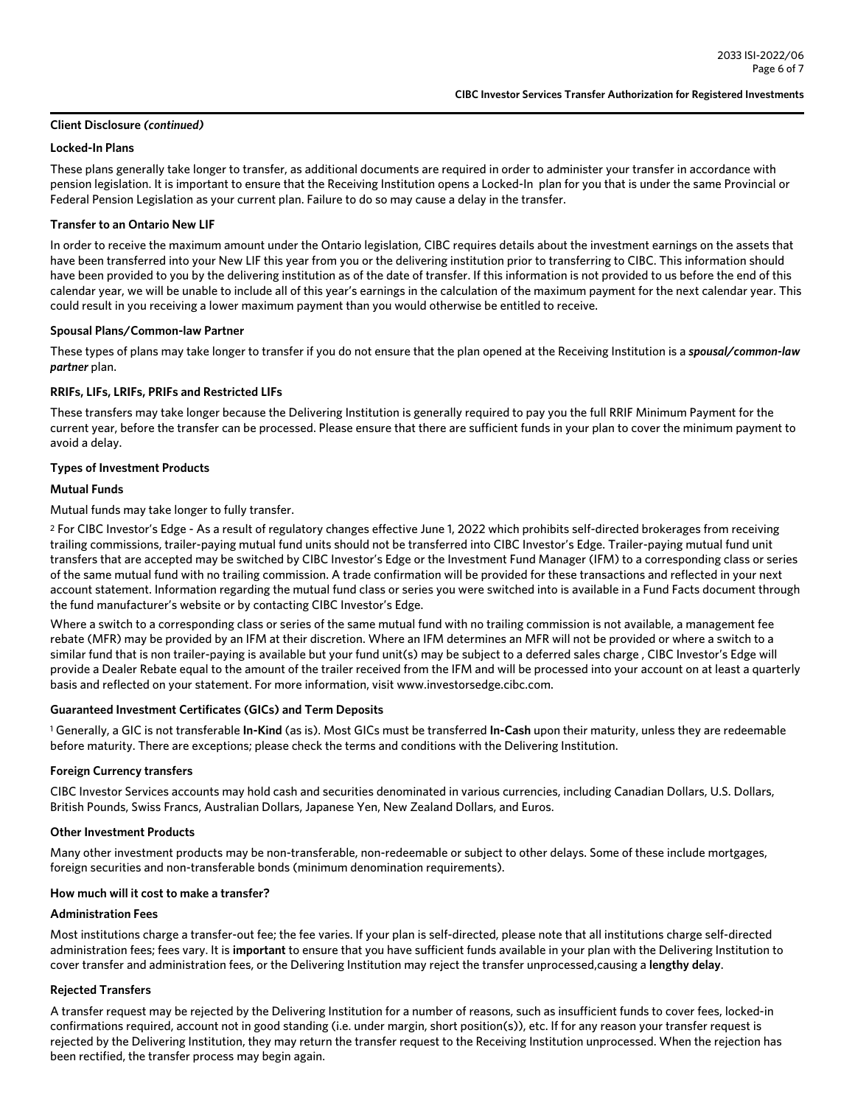## **Client Disclosure** *(continued)*

## **Locked-In Plans**

These plans generally take longer to transfer, as additional documents are required in order to administer your transfer in accordance with pension legislation. It is important to ensure that the Receiving Institution opens a Locked-In plan for you that is under the same Provincial or Federal Pension Legislation as your current plan. Failure to do so may cause a delay in the transfer.

## **Transfer to an Ontario New LIF**

In order to receive the maximum amount under the Ontario legislation, CIBC requires details about the investment earnings on the assets that have been transferred into your New LIF this year from you or the delivering institution prior to transferring to CIBC. This information should have been provided to you by the delivering institution as of the date of transfer. If this information is not provided to us before the end of this calendar year, we will be unable to include all of this year's earnings in the calculation of the maximum payment for the next calendar year. This could result in you receiving a lower maximum payment than you would otherwise be entitled to receive.

#### **Spousal Plans/Common-law Partner**

These types of plans may take longer to transfer if you do not ensure that the plan opened at the Receiving Institution is a *spousal/common-law partner* plan.

## **RRIFs, LIFs, LRIFs, PRIFs and Restricted LIFs**

These transfers may take longer because the Delivering Institution is generally required to pay you the full RRIF Minimum Payment for the current year, before the transfer can be processed. Please ensure that there are sufficient funds in your plan to cover the minimum payment to avoid a delay.

## **Types of Investment Products**

## **Mutual Funds**

Mutual funds may take longer to fully transfer.

2 For CIBC Investor's Edge - As a result of regulatory changes effective June 1, 2022 which prohibits self-directed brokerages from receiving trailing commissions, trailer-paying mutual fund units should not be transferred into CIBC Investor's Edge. Trailer-paying mutual fund unit transfers that are accepted may be switched by CIBC Investor's Edge or the Investment Fund Manager (IFM) to a corresponding class or series of the same mutual fund with no trailing commission. A trade confirmation will be provided for these transactions and reflected in your next account statement. Information regarding the mutual fund class or series you were switched into is available in a Fund Facts document through the fund manufacturer's website or by contacting CIBC Investor's Edge.

Where a switch to a corresponding class or series of the same mutual fund with no trailing commission is not available, a management fee rebate (MFR) may be provided by an IFM at their discretion. Where an IFM determines an MFR will not be provided or where a switch to a similar fund that is non trailer-paying is available but your fund unit(s) may be subject to a deferred sales charge , CIBC Investor's Edge will provide a Dealer Rebate equal to the amount of the trailer received from the IFM and will be processed into your account on at least a quarterly basis and reflected on your statement. For more information, visit www.investorsedge.cibc.com.

## **Guaranteed Investment Certificates (GICs) and Term Deposits**

1 Generally, a GIC is not transferable **In-Kind** (as is). Most GICs must be transferred **In-Cash** upon their maturity, unless they are redeemable before maturity. There are exceptions; please check the terms and conditions with the Delivering Institution.

#### **Foreign Currency transfers**

CIBC Investor Services accounts may hold cash and securities denominated in various currencies, including Canadian Dollars, U.S. Dollars, British Pounds, Swiss Francs, Australian Dollars, Japanese Yen, New Zealand Dollars, and Euros.

#### **Other Investment Products**

Many other investment products may be non-transferable, non-redeemable or subject to other delays. Some of these include mortgages, foreign securities and non-transferable bonds (minimum denomination requirements).

## **How much will it cost to make a transfer?**

### **Administration Fees**

Most institutions charge a transfer-out fee; the fee varies. If your plan is self-directed, please note that all institutions charge self-directed administration fees; fees vary. It is **important** to ensure that you have sufficient funds available in your plan with the Delivering Institution to cover transfer and administration fees, or the Delivering Institution may reject the transfer unprocessed,causing a **lengthy delay**.

#### **Rejected Transfers**

A transfer request may be rejected by the Delivering Institution for a number of reasons, such as insufficient funds to cover fees, locked-in confirmations required, account not in good standing (i.e. under margin, short position(s)), etc. If for any reason your transfer request is rejected by the Delivering Institution, they may return the transfer request to the Receiving Institution unprocessed. When the rejection has been rectified, the transfer process may begin again.